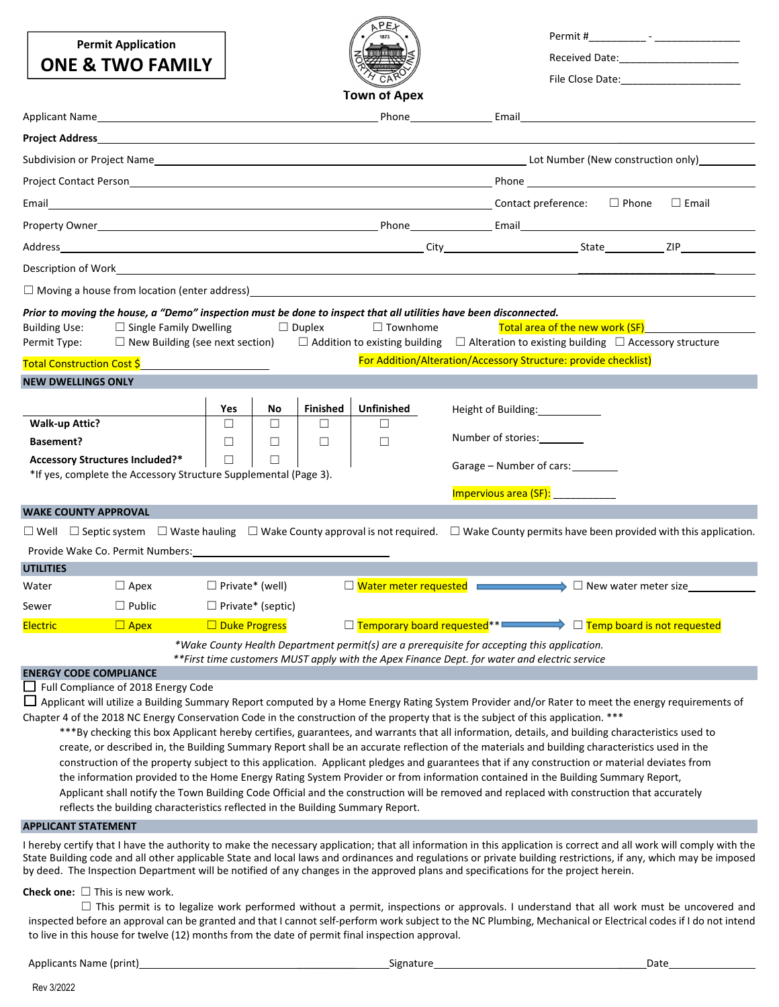**Permit Application**



Permit #

|                                                                           | <b>ONE &amp; TWO FAMILY</b>                                                                                                                                             |                        |                          |                      |                                                                                                                                                                                             |       |                                                                                                           | Received Date: Necessary Received Date: |              |  |
|---------------------------------------------------------------------------|-------------------------------------------------------------------------------------------------------------------------------------------------------------------------|------------------------|--------------------------|----------------------|---------------------------------------------------------------------------------------------------------------------------------------------------------------------------------------------|-------|-----------------------------------------------------------------------------------------------------------|-----------------------------------------|--------------|--|
|                                                                           |                                                                                                                                                                         |                        |                          |                      |                                                                                                                                                                                             |       |                                                                                                           |                                         |              |  |
|                                                                           |                                                                                                                                                                         |                        |                          |                      | <b>Town of Apex</b>                                                                                                                                                                         |       |                                                                                                           |                                         |              |  |
|                                                                           |                                                                                                                                                                         |                        |                          |                      |                                                                                                                                                                                             | Email |                                                                                                           |                                         |              |  |
| Project Address                                                           | <u>a sa barang sa mga barang sa mga barang sa mga barang sa mga barang sa mga barang sa mga barang sa mga barang sa </u>                                                |                        |                          |                      |                                                                                                                                                                                             |       |                                                                                                           |                                         |              |  |
|                                                                           |                                                                                                                                                                         |                        |                          |                      |                                                                                                                                                                                             |       |                                                                                                           |                                         |              |  |
|                                                                           | Project Contact Person <b>Project Contact Person</b> Project Contact Person in the Second Project Contact Person <b>Provence Contact Person</b>                         |                        |                          |                      |                                                                                                                                                                                             |       |                                                                                                           |                                         |              |  |
| Email                                                                     | <b>Example 2018</b> Contact preference: □ Phone                                                                                                                         |                        |                          |                      |                                                                                                                                                                                             |       |                                                                                                           |                                         | $\Box$ Email |  |
|                                                                           |                                                                                                                                                                         |                        |                          |                      |                                                                                                                                                                                             |       |                                                                                                           |                                         |              |  |
| Address                                                                   |                                                                                                                                                                         |                        |                          |                      |                                                                                                                                                                                             |       |                                                                                                           |                                         |              |  |
|                                                                           | Description of Work <b>contract the contract of the contract of the contract of the contract of the contract of th</b>                                                  |                        |                          |                      |                                                                                                                                                                                             |       |                                                                                                           |                                         |              |  |
|                                                                           | $\Box$ Moving a house from location (enter address) $\Box$                                                                                                              |                        |                          |                      |                                                                                                                                                                                             |       |                                                                                                           |                                         |              |  |
| <b>Building Use:</b><br>Permit Type:<br><b>Total Construction Cost \$</b> | $\Box$ Single Family Dwelling<br>$\Box$ New Building (see next section)                                                                                                 |                        |                          | $\Box$ Duplex        | $\Box$ Townhome<br>$\Box$ Addition to existing building $\Box$ Alteration to existing building $\Box$ Accessory structure                                                                   |       | <b>Total area of the new work (SF)</b><br>For Addition/Alteration/Accessory Structure: provide checklist) |                                         |              |  |
| <b>NEW DWELLINGS ONLY</b>                                                 |                                                                                                                                                                         |                        |                          |                      |                                                                                                                                                                                             |       |                                                                                                           |                                         |              |  |
|                                                                           |                                                                                                                                                                         |                        |                          |                      |                                                                                                                                                                                             |       |                                                                                                           |                                         |              |  |
| <b>Walk-up Attic?</b>                                                     |                                                                                                                                                                         | Yes<br>П               | No<br>П                  | <b>Finished</b><br>П | <b>Unfinished</b><br>$\perp$                                                                                                                                                                |       | Height of Building:                                                                                       |                                         |              |  |
| <b>Basement?</b>                                                          |                                                                                                                                                                         | П                      | $\Box$                   | $\Box$               | $\Box$                                                                                                                                                                                      |       | Number of stories:                                                                                        |                                         |              |  |
| <b>Accessory Structures Included?*</b>                                    | *If yes, complete the Accessory Structure Supplemental (Page 3).                                                                                                        | $\Box$                 | $\Box$                   |                      |                                                                                                                                                                                             |       | Garage – Number of cars:                                                                                  |                                         |              |  |
|                                                                           |                                                                                                                                                                         |                        |                          |                      |                                                                                                                                                                                             |       | Impervious area (SF):                                                                                     |                                         |              |  |
| <b>WAKE COUNTY APPROVAL</b>                                               |                                                                                                                                                                         |                        |                          |                      |                                                                                                                                                                                             |       |                                                                                                           |                                         |              |  |
|                                                                           | $\Box$ Well $\Box$ Septic system $\Box$ Waste hauling $\Box$ Wake County approval is not required. $\Box$ Wake County permits have been provided with this application. |                        |                          |                      |                                                                                                                                                                                             |       |                                                                                                           |                                         |              |  |
|                                                                           | Provide Wake Co. Permit Numbers:                                                                                                                                        |                        |                          |                      |                                                                                                                                                                                             |       |                                                                                                           |                                         |              |  |
| <b>UTILITIES</b>                                                          |                                                                                                                                                                         |                        |                          |                      |                                                                                                                                                                                             |       |                                                                                                           |                                         |              |  |
| Water                                                                     | $\Box$ Apex                                                                                                                                                             | $\Box$ Private* (well) |                          |                      | □ Water meter requested <b>EXECUTE:</b> D New water meter size                                                                                                                              |       |                                                                                                           |                                         |              |  |
| Sewer                                                                     | $\Box$ Public                                                                                                                                                           |                        | $\Box$ Private* (septic) |                      |                                                                                                                                                                                             |       |                                                                                                           |                                         |              |  |
| <b>Electric</b>                                                           | $\Box$ Apex                                                                                                                                                             | $\Box$ Duke Progress   |                          |                      | □ Temporary board requested <sup>**</sup> <b>Example 2</b> □ Temp board is not requested                                                                                                    |       |                                                                                                           |                                         |              |  |
|                                                                           |                                                                                                                                                                         |                        |                          |                      | *Wake County Health Department permit(s) are a prerequisite for accepting this application.<br>**First time customers MUST apply with the Apex Finance Dept. for water and electric service |       |                                                                                                           |                                         |              |  |
| <b>ENERGY CODE COMPLIANCE</b>                                             |                                                                                                                                                                         |                        |                          |                      |                                                                                                                                                                                             |       |                                                                                                           |                                         |              |  |
|                                                                           | $\Box$ Full Compliance of 2018 Energy Code                                                                                                                              |                        |                          |                      |                                                                                                                                                                                             |       |                                                                                                           |                                         |              |  |
|                                                                           | $\Box$ Applicant will utilize a Building Summary Report computed by a Home Energy Rating System Provider and/or Rater to meet the energy requirements of                |                        |                          |                      |                                                                                                                                                                                             |       |                                                                                                           |                                         |              |  |

Chapter 4 of the 2018 NC Energy Conservation Code in the construction of the property that is the subject of this application. \*\*\*

\*\*\*By checking this box Applicant hereby certifies, guarantees, and warrants that all information, details, and building characteristics used to create, or described in, the Building Summary Report shall be an accurate reflection of the materials and building characteristics used in the construction of the property subject to this application. Applicant pledges and guarantees that if any construction or material deviates from the information provided to the Home Energy Rating System Provider or from information contained in the Building Summary Report, Applicant shall notify the Town Building Code Official and the construction will be removed and replaced with construction that accurately reflects the building characteristics reflected in the Building Summary Report.

### **APPLICANT STATEMENT**

I hereby certify that I have the authority to make the necessary application; that all information in this application is correct and all work will comply with the State Building code and all other applicable State and local laws and ordinances and regulations or private building restrictions, if any, which may be imposed by deed. The Inspection Department will be notified of any changes in the approved plans and specifications for the project herein.

#### **Check one:** ☐ This is new work.

□ This permit is to legalize work performed without a permit, inspections or approvals. I understand that all work must be uncovered and inspected before an approval can be granted and that I cannot self-perform work subject to the NC Plumbing, Mechanical or Electrical codes if I do not intend to live in this house for twelve (12) months from the date of permit final inspection approval.

Applicants Name (print) \_\_\_\_\_\_\_\_\_\_ Signature \_\_\_\_\_Date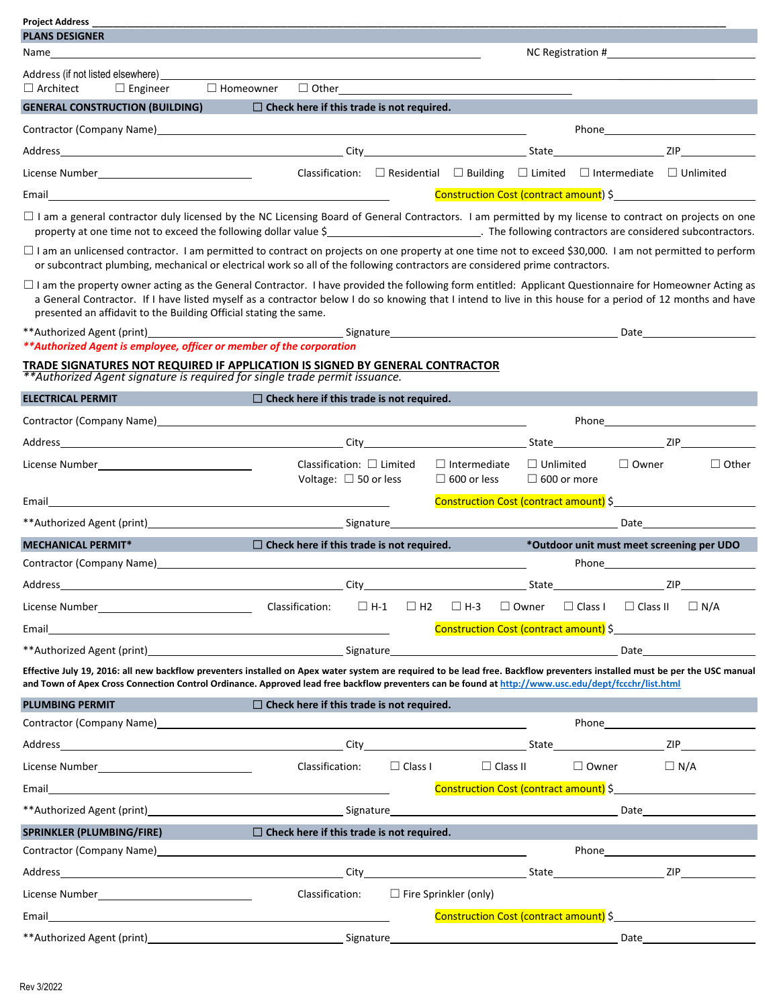| <b>Project Address</b><br><b>PLANS DESIGNER</b>                                                                                                                                                                                                                                                                                                                                                  |                                                                                                        |                                     |                                           |                                        |                |                                                                                                                                                                                                                                |                                                                                                                                                                                                                                |
|--------------------------------------------------------------------------------------------------------------------------------------------------------------------------------------------------------------------------------------------------------------------------------------------------------------------------------------------------------------------------------------------------|--------------------------------------------------------------------------------------------------------|-------------------------------------|-------------------------------------------|----------------------------------------|----------------|--------------------------------------------------------------------------------------------------------------------------------------------------------------------------------------------------------------------------------|--------------------------------------------------------------------------------------------------------------------------------------------------------------------------------------------------------------------------------|
| Name________                                                                                                                                                                                                                                                                                                                                                                                     |                                                                                                        |                                     |                                           |                                        |                |                                                                                                                                                                                                                                |                                                                                                                                                                                                                                |
|                                                                                                                                                                                                                                                                                                                                                                                                  |                                                                                                        |                                     |                                           |                                        |                |                                                                                                                                                                                                                                |                                                                                                                                                                                                                                |
| $\Box$ Architect $\Box$ Engineer $\Box$ Homeowner                                                                                                                                                                                                                                                                                                                                                | $\Box$ Other $\Box$                                                                                    |                                     |                                           |                                        |                |                                                                                                                                                                                                                                |                                                                                                                                                                                                                                |
| <b>GENERAL CONSTRUCTION (BUILDING)</b>                                                                                                                                                                                                                                                                                                                                                           | $\Box$ Check here if this trade is not required.                                                       |                                     |                                           |                                        |                |                                                                                                                                                                                                                                |                                                                                                                                                                                                                                |
| Contractor (Company Name) 2012 12:20 12:20 12:20 12:20 12:20 12:20 12:20 12:20 12:20 12:20 12:20 12:20 12:20 1                                                                                                                                                                                                                                                                                   |                                                                                                        |                                     |                                           |                                        |                |                                                                                                                                                                                                                                |                                                                                                                                                                                                                                |
|                                                                                                                                                                                                                                                                                                                                                                                                  |                                                                                                        |                                     |                                           |                                        |                |                                                                                                                                                                                                                                |                                                                                                                                                                                                                                |
|                                                                                                                                                                                                                                                                                                                                                                                                  | Classification: $\Box$ Residential $\Box$ Building $\Box$ Limited $\Box$ Intermediate $\Box$ Unlimited |                                     |                                           |                                        |                |                                                                                                                                                                                                                                |                                                                                                                                                                                                                                |
|                                                                                                                                                                                                                                                                                                                                                                                                  |                                                                                                        |                                     |                                           |                                        |                |                                                                                                                                                                                                                                | Construction Cost (contract amount) \$                                                                                                                                                                                         |
| □ I am a general contractor duly licensed by the NC Licensing Board of General Contractors. I am permitted by my license to contract on projects on one<br>property at one time not to exceed the following dollar value \$<br>The following contractors are considered subcontractors.                                                                                                          |                                                                                                        |                                     |                                           |                                        |                |                                                                                                                                                                                                                                |                                                                                                                                                                                                                                |
| □ I am an unlicensed contractor. I am permitted to contract on projects on one property at one time not to exceed \$30,000. I am not permitted to perform<br>or subcontract plumbing, mechanical or electrical work so all of the following contractors are considered prime contractors.                                                                                                        |                                                                                                        |                                     |                                           |                                        |                |                                                                                                                                                                                                                                |                                                                                                                                                                                                                                |
| $\Box$ I am the property owner acting as the General Contractor. I have provided the following form entitled: Applicant Questionnaire for Homeowner Acting as<br>a General Contractor. If I have listed myself as a contractor below I do so knowing that I intend to live in this house for a period of 12 months and have<br>presented an affidavit to the Building Official stating the same. |                                                                                                        |                                     |                                           |                                        |                |                                                                                                                                                                                                                                |                                                                                                                                                                                                                                |
|                                                                                                                                                                                                                                                                                                                                                                                                  |                                                                                                        |                                     |                                           |                                        |                |                                                                                                                                                                                                                                | Date <u>_________</u>                                                                                                                                                                                                          |
| ** Authorized Agent is employee, officer or member of the corporation<br>TRADE SIGNATURES NOT REQUIRED IF APPLICATION IS SIGNED BY GENERAL CONTRACTOR<br>** Authorized Agent signature is required for single trade permit issuance.                                                                                                                                                             |                                                                                                        |                                     |                                           |                                        |                |                                                                                                                                                                                                                                |                                                                                                                                                                                                                                |
| <b>ELECTRICAL PERMIT</b>                                                                                                                                                                                                                                                                                                                                                                         | $\Box$ Check here if this trade is not required.                                                       |                                     |                                           |                                        |                |                                                                                                                                                                                                                                |                                                                                                                                                                                                                                |
|                                                                                                                                                                                                                                                                                                                                                                                                  |                                                                                                        |                                     |                                           |                                        |                |                                                                                                                                                                                                                                |                                                                                                                                                                                                                                |
|                                                                                                                                                                                                                                                                                                                                                                                                  |                                                                                                        |                                     |                                           |                                        |                |                                                                                                                                                                                                                                | State ZIP                                                                                                                                                                                                                      |
|                                                                                                                                                                                                                                                                                                                                                                                                  | Classification: $\Box$ Limited<br>Voltage: $\Box$ 50 or less                                           |                                     | $\Box$ Intermediate<br>$\Box$ 600 or less | $\Box$ Unlimited<br>$\Box$ 600 or more |                | $\Box$ Owner                                                                                                                                                                                                                   | $\Box$ Other                                                                                                                                                                                                                   |
|                                                                                                                                                                                                                                                                                                                                                                                                  |                                                                                                        |                                     |                                           |                                        |                |                                                                                                                                                                                                                                | Construction Cost (contract amount) \$                                                                                                                                                                                         |
|                                                                                                                                                                                                                                                                                                                                                                                                  |                                                                                                        |                                     |                                           |                                        |                | Date and the second second second second second second second second second second second second second second second second second second second second second second second second second second second second second second |                                                                                                                                                                                                                                |
| <b>MECHANICAL PERMIT*</b><br><b>Service Service</b>                                                                                                                                                                                                                                                                                                                                              | $\Box$ Check here if this trade is not required.                                                       |                                     |                                           |                                        |                |                                                                                                                                                                                                                                | *Outdoor unit must meet screening per UDO                                                                                                                                                                                      |
| Contractor (Company Name)                                                                                                                                                                                                                                                                                                                                                                        |                                                                                                        |                                     |                                           |                                        |                |                                                                                                                                                                                                                                |                                                                                                                                                                                                                                |
| Address                                                                                                                                                                                                                                                                                                                                                                                          | City                                                                                                   |                                     |                                           | State                                  |                |                                                                                                                                                                                                                                | 71P                                                                                                                                                                                                                            |
|                                                                                                                                                                                                                                                                                                                                                                                                  |                                                                                                        | $\Box$ H-1<br>$\Box$ H <sub>2</sub> | $\Box$ H-3                                | $\Box$ Owner                           | $\Box$ Class I | $\Box$ Class II                                                                                                                                                                                                                | $\Box$ N/A                                                                                                                                                                                                                     |
| Email                                                                                                                                                                                                                                                                                                                                                                                            |                                                                                                        |                                     |                                           |                                        |                |                                                                                                                                                                                                                                | Construction Cost (contract amount) \$                                                                                                                                                                                         |
| **Authorized Agent (print) and the control of the Signature Signature states and the Signature of the Signature                                                                                                                                                                                                                                                                                  |                                                                                                        |                                     |                                           |                                        |                |                                                                                                                                                                                                                                | Date and the contract of the contract of the contract of the contract of the contract of the contract of the contract of the contract of the contract of the contract of the contract of the contract of the contract of the c |
| Effective July 19, 2016: all new backflow preventers installed on Apex water system are required to be lead free. Backflow preventers installed must be per the USC manual<br>and Town of Apex Cross Connection Control Ordinance. Approved lead free backflow preventers can be found at http://www.usc.edu/dept/fccchr/list.html                                                               |                                                                                                        |                                     |                                           |                                        |                |                                                                                                                                                                                                                                |                                                                                                                                                                                                                                |
| <b>PLUMBING PERMIT</b>                                                                                                                                                                                                                                                                                                                                                                           | $\Box$ Check here if this trade is not required.                                                       |                                     |                                           |                                        |                |                                                                                                                                                                                                                                |                                                                                                                                                                                                                                |
| Contractor (Company Name) and the contractor of the contractor of the contractor of the contractor of the contractor of the contractor of the contractor of the contractor of the contractor of the contractor of the contract                                                                                                                                                                   |                                                                                                        |                                     |                                           |                                        |                |                                                                                                                                                                                                                                |                                                                                                                                                                                                                                |
| Address and the contract of the contract of the contract of the contract of the contract of the contract of the                                                                                                                                                                                                                                                                                  |                                                                                                        |                                     |                                           |                                        |                |                                                                                                                                                                                                                                |                                                                                                                                                                                                                                |
| License Number________________________________                                                                                                                                                                                                                                                                                                                                                   | Classification:                                                                                        | $\Box$ Class I                      |                                           | $\Box$ Class II                        |                | $\Box$ Owner                                                                                                                                                                                                                   | $\Box$ N/A                                                                                                                                                                                                                     |
| Email                                                                                                                                                                                                                                                                                                                                                                                            |                                                                                                        |                                     |                                           |                                        |                |                                                                                                                                                                                                                                | Construction Cost (contract amount) \$                                                                                                                                                                                         |
|                                                                                                                                                                                                                                                                                                                                                                                                  |                                                                                                        |                                     |                                           |                                        |                |                                                                                                                                                                                                                                | Date and the second second second second second second second second second second second second second second second second second second second second second second second second second second second second second second |
| SPRINKLER (PLUMBING/FIRE)                                                                                                                                                                                                                                                                                                                                                                        | $\Box$ Check here if this trade is not required.                                                       |                                     |                                           |                                        |                |                                                                                                                                                                                                                                |                                                                                                                                                                                                                                |
|                                                                                                                                                                                                                                                                                                                                                                                                  |                                                                                                        |                                     |                                           |                                        |                |                                                                                                                                                                                                                                |                                                                                                                                                                                                                                |
|                                                                                                                                                                                                                                                                                                                                                                                                  |                                                                                                        |                                     |                                           |                                        |                |                                                                                                                                                                                                                                |                                                                                                                                                                                                                                |
|                                                                                                                                                                                                                                                                                                                                                                                                  | Classification:                                                                                        |                                     | $\Box$ Fire Sprinkler (only)              |                                        |                |                                                                                                                                                                                                                                |                                                                                                                                                                                                                                |
| Email                                                                                                                                                                                                                                                                                                                                                                                            |                                                                                                        |                                     |                                           |                                        |                |                                                                                                                                                                                                                                | Construction Cost (contract amount) \$                                                                                                                                                                                         |
|                                                                                                                                                                                                                                                                                                                                                                                                  |                                                                                                        |                                     |                                           |                                        |                |                                                                                                                                                                                                                                | Date                                                                                                                                                                                                                           |
|                                                                                                                                                                                                                                                                                                                                                                                                  |                                                                                                        |                                     |                                           |                                        |                |                                                                                                                                                                                                                                |                                                                                                                                                                                                                                |